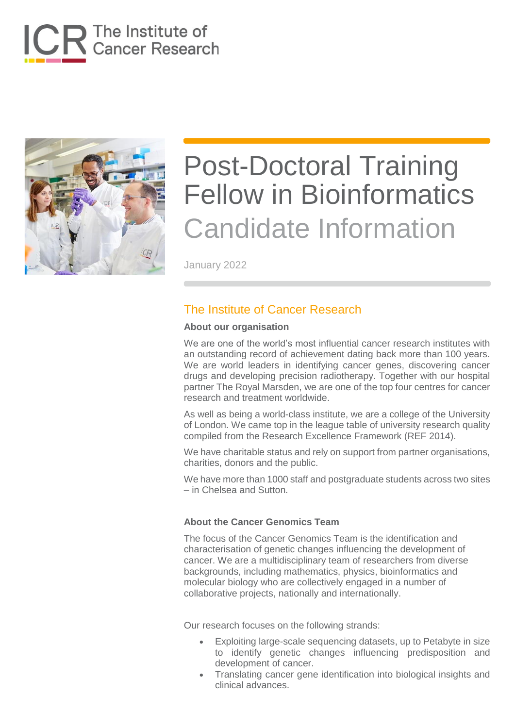



January 2022

### The Institute of Cancer Research

#### **About our organisation**

We are one of the world's most influential cancer research institutes with an outstanding record of achievement dating back more than 100 years. We are world leaders in identifying cancer genes, discovering cancer drugs and developing precision radiotherapy. Together with our hospital partner The Royal Marsden, we are one of the top four centres for cancer research and treatment worldwide.

As well as being a world-class institute, we are a college of the University of London. We came top in the league table of university research quality compiled from the Research Excellence Framework (REF 2014).

We have charitable status and rely on support from partner organisations, charities, donors and the public.

We have more than 1000 staff and postgraduate students across two sites – in Chelsea and Sutton.

#### **About the Cancer Genomics Team**

The focus of the Cancer Genomics Team is the identification and characterisation of genetic changes influencing the development of cancer. We are a multidisciplinary team of researchers from diverse backgrounds, including mathematics, physics, bioinformatics and molecular biology who are collectively engaged in a number of collaborative projects, nationally and internationally.

Our research focuses on the following strands:

- Exploiting large-scale sequencing datasets, up to Petabyte in size to identify genetic changes influencing predisposition and development of cancer.
- Translating cancer gene identification into biological insights and clinical advances.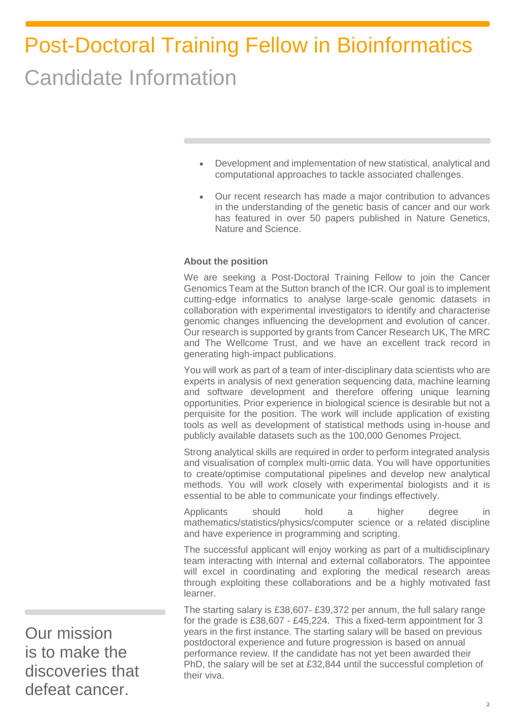- Development and implementation of new statistical, analytical and computational approaches to tackle associated challenges.
- Our recent research has made a major contribution to advances in the understanding of the genetic basis of cancer and our work has featured in over 50 papers published in Nature Genetics, Nature and Science.

#### **About the position**

We are seeking a Post-Doctoral Training Fellow to join the Cancer Genomics Team at the Sutton branch of the ICR. Our goal is to implement cutting-edge informatics to analyse large-scale genomic datasets in collaboration with experimental investigators to identify and characterise genomic changes influencing the development and evolution of cancer. Our research is supported by grants from Cancer Research UK, The MRC and The Wellcome Trust, and we have an excellent track record in generating high-impact publications.

You will work as part of a team of inter-disciplinary data scientists who are experts in analysis of next generation sequencing data, machine learning and software development and therefore offering unique learning opportunities. Prior experience in biological science is desirable but not a perquisite for the position. The work will include application of existing tools as well as development of statistical methods using in-house and publicly available datasets such as the [100,000 Genomes Project.](https://www.genomicsengland.co.uk/about-genomics-england/the-100000-genomes-project/)

Strong analytical skills are required in order to perform integrated analysis and visualisation of complex multi-omic data. You will have opportunities to create/optimise computational pipelines and develop new analytical methods. You will work closely with experimental biologists and it is essential to be able to communicate your findings effectively.

Applicants should hold a higher degree in mathematics/statistics/physics/computer science or a related discipline and have experience in programming and scripting.

The successful applicant will enjoy working as part of a multidisciplinary team interacting with internal and external collaborators. The appointee will excel in coordinating and exploring the medical research areas through exploiting these collaborations and be a highly motivated fast learner.

The starting salary is £38,607- £39,372 per annum, the full salary range for the grade is £38,607 - £45,224. This a fixed-term appointment for 3 years in the first instance. The starting salary will be based on previous postdoctoral experience and future progression is based on annual performance review. If the candidate has not yet been awarded their PhD, the salary will be set at £32,844 until the successful completion of their viva.

Our mission is to make the discoveries that defeat cancer.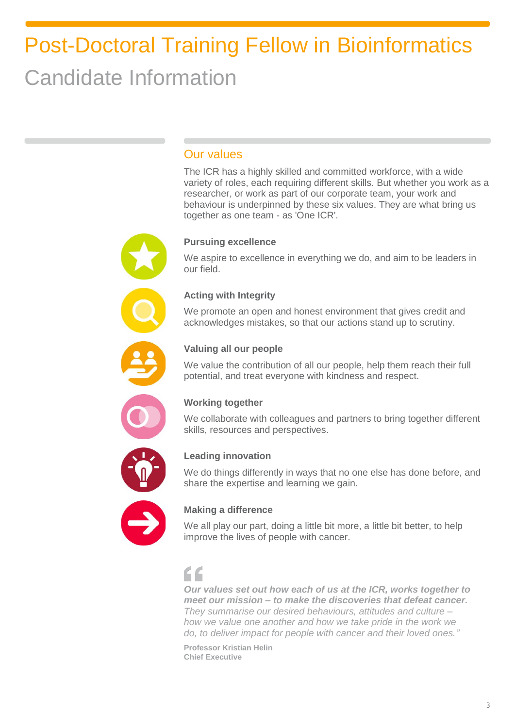### Our values

The ICR has a highly skilled and committed workforce, with a wide variety of roles, each requiring different skills. But whether you work as a researcher, or work as part of our corporate team, your work and behaviour is underpinned by these six values. They are what bring us together as one team - as 'One ICR'.

#### **Pursuing excellence**

We aspire to excellence in everything we do, and aim to be leaders in our field.

#### **Acting with Integrity**

We promote an open and honest environment that gives credit and acknowledges mistakes, so that our actions stand up to scrutiny.



#### **Valuing all our people**

We value the contribution of all our people, help them reach their full potential, and treat everyone with kindness and respect.



#### **Working together**

We collaborate with colleagues and partners to bring together different skills, resources and perspectives.



#### **Leading innovation**

We do things differently in ways that no one else has done before, and share the expertise and learning we gain.



#### **Making a difference**

We all play our part, doing a little bit more, a little bit better, to help improve the lives of people with cancer.

## "

*Our values set out how each of us at the ICR, works together to meet our mission – to make the discoveries that defeat cancer. They summarise our desired behaviours, attitudes and culture – how we value one another and how we take pride in the work we do, to deliver impact for people with cancer and their loved ones."*

**Professor Kristian Helin Chief Executive**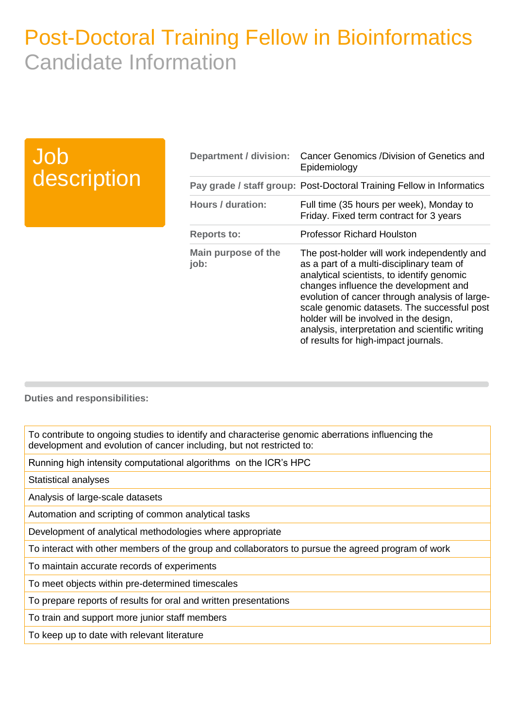## Job description

| Department / division:      | Cancer Genomics /Division of Genetics and<br>Epidemiology                                                                                                                                                                                                                                                                                                                                                             |
|-----------------------------|-----------------------------------------------------------------------------------------------------------------------------------------------------------------------------------------------------------------------------------------------------------------------------------------------------------------------------------------------------------------------------------------------------------------------|
|                             | Pay grade / staff group: Post-Doctoral Training Fellow in Informatics                                                                                                                                                                                                                                                                                                                                                 |
| Hours / duration:           | Full time (35 hours per week), Monday to<br>Friday. Fixed term contract for 3 years                                                                                                                                                                                                                                                                                                                                   |
| <b>Reports to:</b>          | <b>Professor Richard Houlston</b>                                                                                                                                                                                                                                                                                                                                                                                     |
| Main purpose of the<br>job: | The post-holder will work independently and<br>as a part of a multi-disciplinary team of<br>analytical scientists, to identify genomic<br>changes influence the development and<br>evolution of cancer through analysis of large-<br>scale genomic datasets. The successful post<br>holder will be involved in the design,<br>analysis, interpretation and scientific writing<br>of results for high-impact journals. |

**Duties and responsibilities:**

To contribute to ongoing studies to identify and characterise genomic aberrations influencing the development and evolution of cancer including, but not restricted to:

Running high intensity computational algorithms on the ICR's HPC

Statistical analyses

Analysis of large-scale datasets

Automation and scripting of common analytical tasks

Development of analytical methodologies where appropriate

To interact with other members of the group and collaborators to pursue the agreed program of work

To maintain accurate records of experiments

To meet objects within pre-determined timescales

To prepare reports of results for oral and written presentations

To train and support more junior staff members

To keep up to date with relevant literature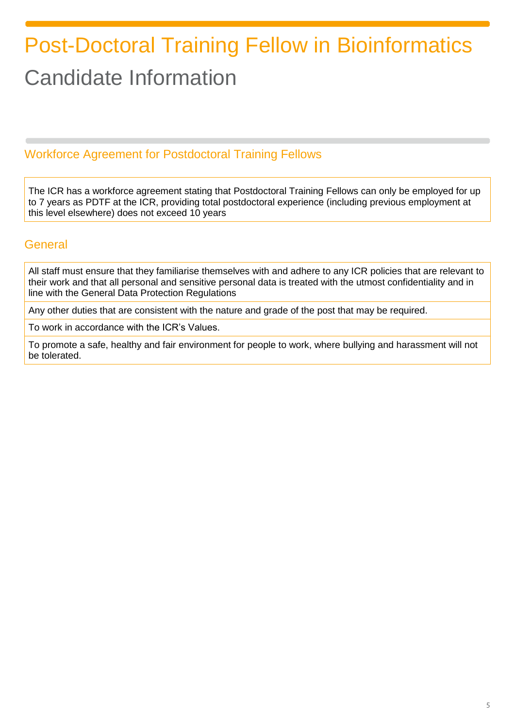## Workforce Agreement for Postdoctoral Training Fellows

The ICR has a workforce agreement stating that Postdoctoral Training Fellows can only be employed for up to 7 years as PDTF at the ICR, providing total postdoctoral experience (including previous employment at this level elsewhere) does not exceed 10 years

### **General**

All staff must ensure that they familiarise themselves with and adhere to any ICR policies that are relevant to their work and that all personal and sensitive personal data is treated with the utmost confidentiality and in line with the General Data Protection Regulations

Any other duties that are consistent with the nature and grade of the post that may be required.

To work in accordance with the ICR's Values.

To promote a safe, healthy and fair environment for people to work, where bullying and harassment will not be tolerated.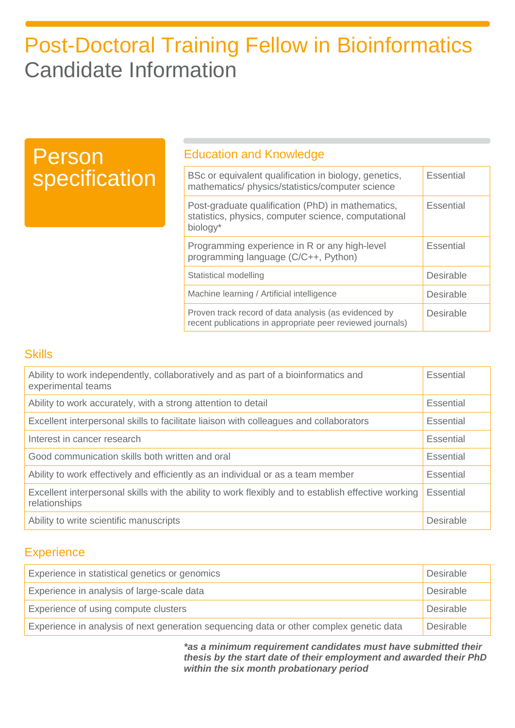| <b>Person</b> | <b>Education and Knowledge</b>                                                                                        |                  |  |
|---------------|-----------------------------------------------------------------------------------------------------------------------|------------------|--|
| specification | BSc or equivalent qualification in biology, genetics,<br>mathematics/physics/statistics/computer science              | <b>Essential</b> |  |
|               | Post-graduate qualification (PhD) in mathematics,<br>statistics, physics, computer science, computational<br>biology* | <b>Essential</b> |  |
|               | Programming experience in R or any high-level<br>programming language (C/C++, Python)                                 | <b>Essential</b> |  |
|               | Statistical modelling                                                                                                 | <b>Desirable</b> |  |
|               | Machine learning / Artificial intelligence                                                                            | <b>Desirable</b> |  |
|               | Proven track record of data analysis (as evidenced by<br>recent publications in appropriate peer reviewed journals)   | <b>Desirable</b> |  |

### **Skills**

**P**<br>S

| Ability to work independently, collaboratively and as part of a bioinformatics and<br>experimental teams             | Essential |
|----------------------------------------------------------------------------------------------------------------------|-----------|
| Ability to work accurately, with a strong attention to detail                                                        |           |
| Excellent interpersonal skills to facilitate liaison with colleagues and collaborators                               |           |
| Interest in cancer research                                                                                          |           |
| Good communication skills both written and oral                                                                      |           |
| Ability to work effectively and efficiently as an individual or as a team member                                     |           |
| Excellent interpersonal skills with the ability to work flexibly and to establish effective working<br>relationships |           |
| Ability to write scientific manuscripts                                                                              | Desirable |

### **Experience**

| Experience in statistical genetics or genomics<br>Desirable                             |           |
|-----------------------------------------------------------------------------------------|-----------|
| Experience in analysis of large-scale data                                              | Desirable |
| Experience of using compute clusters<br><b>Desirable</b>                                |           |
| Experience in analysis of next generation sequencing data or other complex genetic data | Desirable |

*\*as a minimum requirement candidates must have submitted their thesis by the start date of their employment and awarded their PhD within the six month probationary period*